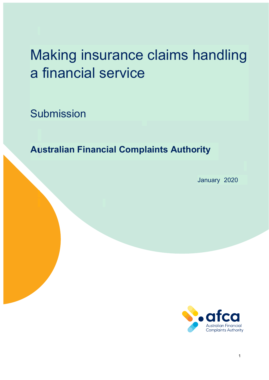# Making insurance claims handling a financial service

**Submission** 

**Australian Financial Complaints Authority**

January 2020

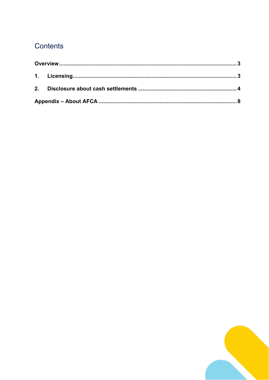# Contents

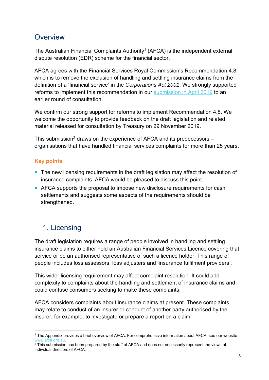## **Overview**

The Australian Financial Complaints Authority<sup>1</sup> (AFCA) is the independent external dispute resolution (EDR) scheme for the financial sector.

AFCA agrees with the Financial Services Royal Commission's Recommendation 4.8, which is to remove the exclusion of handling and settling insurance claims from the definition of a 'financial service' in the *Corporations Act 2001*. We strongly supported reforms to implement this recommendation in our submission in April 2019 to an earlier round of consultation.

We confirm our strong support for reforms to implement Recommendation 4.8. We welcome the opportunity to provide feedback on the draft legislation and related material released for consultation by Treasury on 29 November 2019.

This submission<sup>2</sup> draws on the experience of AFCA and its predecessors organisations that have handled financial services complaints for more than 25 years.

### **Key points**

1

- The new licensing requirements in the draft legislation may affect the resolution of insurance complaints. AFCA would be pleased to discuss this point.
- AFCA supports the proposal to impose new disclosure requirements for cash settlements and suggests some aspects of the requirements should be strengthened.

## 1. Licensing

The draft legislation requires a range of people involved in handling and settling insurance claims to either hold an Australian Financial Services Licence covering that service or be an authorised representative of such a licence holder. This range of people includes loss assessors, loss adjusters and 'insurance fulfilment providers'.

This wider licensing requirement may affect complaint resolution. It could add complexity to complaints about the handling and settlement of insurance claims and could confuse consumers seeking to make these complaints.

AFCA considers complaints about insurance claims at present. These complaints may relate to conduct of an insurer or conduct of another party authorised by the insurer, for example, to investigate or prepare a report on a claim.

<sup>1</sup> The Appendix provides a brief overview of AFCA. For comprehensive information about AFCA, see our website www.afca.org.au.<br><sup>2</sup> This submission has been prepared by the staff of AFCA and does not necessarily represent the views of

individual directors of AFCA.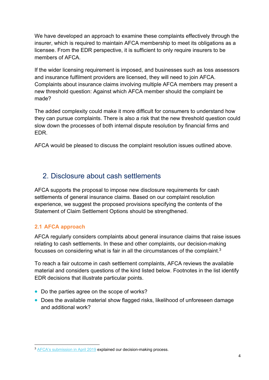We have developed an approach to examine these complaints effectively through the insurer, which is required to maintain AFCA membership to meet its obligations as a licensee. From the EDR perspective, it is sufficient to only require insurers to be members of AFCA

If the wider licensing requirement is imposed, and businesses such as loss assessors and insurance fulfilment providers are licensed, they will need to join AFCA. Complaints about insurance claims involving multiple AFCA members may present a new threshold question: Against which AFCA member should the complaint be made?

The added complexity could make it more difficult for consumers to understand how they can pursue complaints. There is also a risk that the new threshold question could slow down the processes of both internal dispute resolution by financial firms and EDR.

AFCA would be pleased to discuss the complaint resolution issues outlined above.

## 2. Disclosure about cash settlements

AFCA supports the proposal to impose new disclosure requirements for cash settlements of general insurance claims. Based on our complaint resolution experience, we suggest the proposed provisions specifying the contents of the Statement of Claim Settlement Options should be strengthened.

#### **2.1 AFCA approach**

AFCA regularly considers complaints about general insurance claims that raise issues relating to cash settlements. In these and other complaints, our decision-making focusses on considering what is fair in all the circumstances of the complaint.3

To reach a fair outcome in cash settlement complaints, AFCA reviews the available material and considers questions of the kind listed below. Footnotes in the list identify EDR decisions that illustrate particular points.

- Do the parties agree on the scope of works?
- Does the available material show flagged risks, likelihood of unforeseen damage and additional work?

<sup>1</sup> <sup>3</sup> AFCA's submission in April 2019 explained our decision-making process.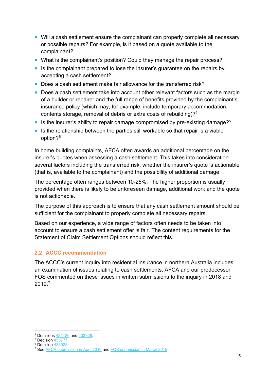- Will a cash settlement ensure the complainant can properly complete all necessary or possible repairs? For example, is it based on a quote available to the complainant?
- What is the complainant's position? Could they manage the repair process?
- Is the complainant prepared to lose the insurer's guarantee on the repairs by accepting a cash settlement?
- Does a cash settlement make fair allowance for the transferred risk?
- Does a cash settlement take into account other relevant factors such as the margin of a builder or repairer and the full range of benefits provided by the complainant's insurance policy (which may, for example, include temporary accommodation, contents storage, removal of debris or extra costs of rebuilding)?4
- Is the insurer's ability to repair damage compromised by pre-existing damage?<sup>5</sup>
- Is the relationship between the parties still workable so that repair is a viable option?<sup>6</sup>

In home building complaints, AFCA often awards an additional percentage on the insurer's quotes when assessing a cash settlement. This takes into consideration several factors including the transferred risk, whether the insurer's quote is actionable (that is, available to the complainant) and the possibility of additional damage.

The percentage often ranges between 10-25%. The higher proportion is usually provided when there is likely to be unforeseen damage, additional work and the quote is not actionable.

The purpose of this approach is to ensure that any cash settlement amount should be sufficient for the complainant to properly complete all necessary repairs.

Based on our experience, a wide range of factors often needs to be taken into account to ensure a cash settlement offer is fair. The content requirements for the Statement of Claim Settlement Options should reflect this.

#### **2.2 ACCC recommendation**

The ACCC's current inquiry into residential insurance in northern Australia includes an examination of issues relating to cash settlements. AFCA and our predecessor FOS commented on these issues in written submissions to the inquiry in 2018 and 2019.7

1

<sup>4</sup> Decisions  $434126$  and  $433928$ .<br>
5 Decision  $433928$ .<br>
6 Decision  $433928$ .<br>
7 See AFCA submission in April 2019 and FOS submission in March 2018.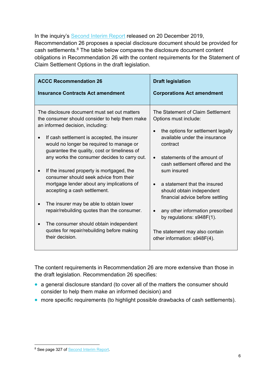In the inquiry's Second Interim Report released on 20 December 2019, Recommendation 26 proposes a special disclosure document should be provided for cash settlements.8 The table below compares the disclosure document content obligations in Recommendation 26 with the content requirements for the Statement of Claim Settlement Options in the draft legislation.

| <b>ACCC Recommendation 26</b>                                                                                                                                                                                                                                                                                                                                                                                                                                                                                                                                                                                                                                                                          | <b>Draft legislation</b>                                                                                                                                                                                                                                                                                                                                                                                                                                           |
|--------------------------------------------------------------------------------------------------------------------------------------------------------------------------------------------------------------------------------------------------------------------------------------------------------------------------------------------------------------------------------------------------------------------------------------------------------------------------------------------------------------------------------------------------------------------------------------------------------------------------------------------------------------------------------------------------------|--------------------------------------------------------------------------------------------------------------------------------------------------------------------------------------------------------------------------------------------------------------------------------------------------------------------------------------------------------------------------------------------------------------------------------------------------------------------|
| <b>Insurance Contracts Act amendment</b>                                                                                                                                                                                                                                                                                                                                                                                                                                                                                                                                                                                                                                                               | <b>Corporations Act amendment</b>                                                                                                                                                                                                                                                                                                                                                                                                                                  |
| The disclosure document must set out matters<br>the consumer should consider to help them make<br>an informed decision, including:<br>If cash settlement is accepted, the insurer<br>would no longer be required to manage or<br>guarantee the quality, cost or timeliness of<br>any works the consumer decides to carry out.<br>If the insured property is mortgaged, the<br>consumer should seek advice from their<br>mortgage lender about any implications of<br>accepting a cash settlement.<br>The insurer may be able to obtain lower<br>repair/rebuilding quotes than the consumer.<br>The consumer should obtain independent<br>quotes for repair/rebuilding before making<br>their decision. | The Statement of Claim Settlement<br>Options must include:<br>the options for settlement legally<br>available under the insurance<br>contract<br>statements of the amount of<br>cash settlement offered and the<br>sum insured<br>a statement that the insured<br>should obtain independent<br>financial advice before settling<br>any other information prescribed<br>by regulations: s948F(1).<br>The statement may also contain<br>other information: s948F(4). |

The content requirements in Recommendation 26 are more extensive than those in the draft legislation. Recommendation 26 specifies:

- a general disclosure standard (to cover all of the matters the consumer should consider to help them make an informed decision) and
- more specific requirements (to highlight possible drawbacks of cash settlements).

<sup>1</sup> <sup>8</sup> See page 327 of **Second Interim Report**.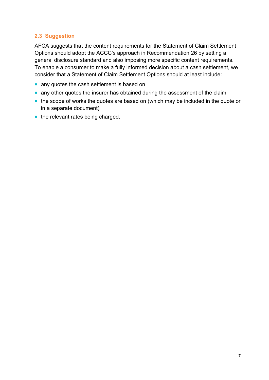#### **2.3 Suggestion**

AFCA suggests that the content requirements for the Statement of Claim Settlement Options should adopt the ACCC's approach in Recommendation 26 by setting a general disclosure standard and also imposing more specific content requirements. To enable a consumer to make a fully informed decision about a cash settlement, we consider that a Statement of Claim Settlement Options should at least include:

- any quotes the cash settlement is based on
- any other quotes the insurer has obtained during the assessment of the claim
- the scope of works the quotes are based on (which may be included in the quote or in a separate document)
- the relevant rates being charged.